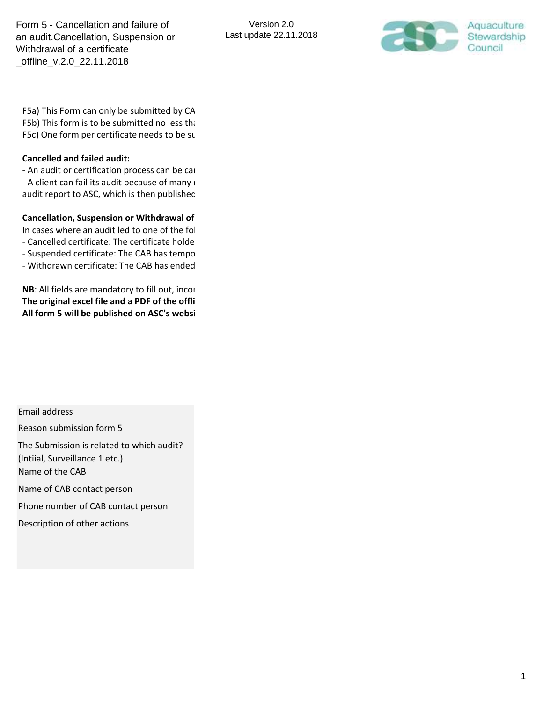

F5a) This Form can only be submitted by CA F5b) This form is to be submitted no less than F5c) One form per certificate needs to be sub-

## **Cancelled and failed audit:**

- An audit or certification process can be can - A client can fail its audit because of many i audit report to ASC, which is then published

## **Cancellation, Suspension or Withdrawal of**

In cases where an audit led to one of the following decisions, then put

- Cancelled certificate: The certificate holde

- Suspended certificate: The CAB has tempo

- Withdrawn certificate: The CAB has ended

**NB**: All fields are mandatory to fill out, incom The original excel file and a PDF of the offli All form 5 will be published on ASC's websi

Email address

Reason submission form 5

The Submission is related to which audit? (Intiial, Surveillance 1 etc.) Name of the CAB

Name of CAB contact person

Phone number of CAB contact person

Description of other actions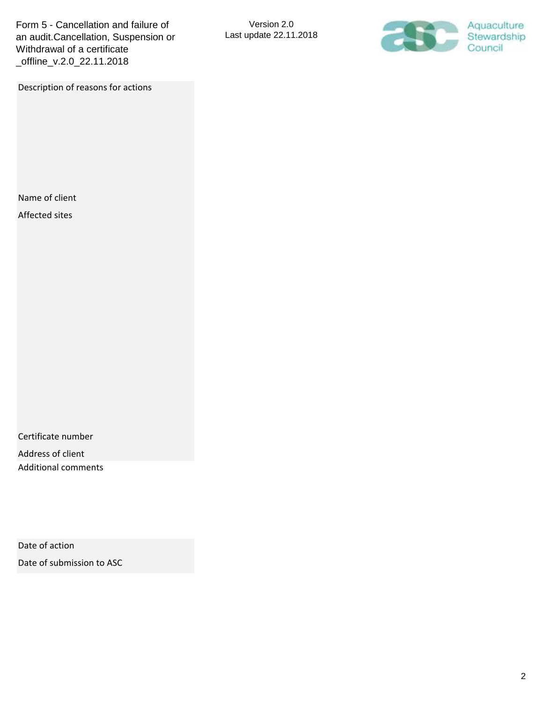Description of reasons for actions

Version 2.0 Last update 22.11.2018



Name of client

Affected sites

Certificate number

Address of client Additional comments

Date of action

Date of submission to ASC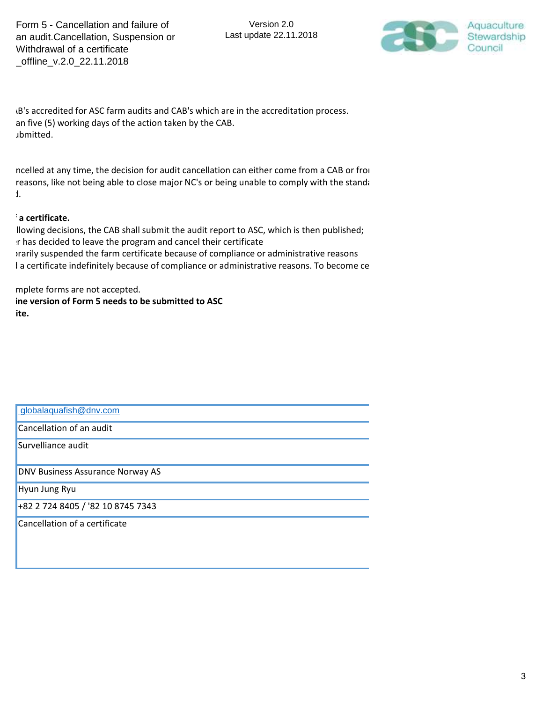Version 2.0 Last update 22.11.2018



IB's accredited for ASC farm audits and CAB's which are in the accreditation process. an five (5) working days of the action taken by the CAB. Jbmitted.

ncelled at any time, the decision for audit cancellation can either come from a CAB or from reasons, like not being able to close major NC's or being unable to comply with the standa  $\mathbf{r}$ 

## $\cdot$  a certificate.

Ilowing decisions, the CAB shall submit the audit report to ASC, which is then published; In has decided to leave the program and cancel their certificate Intertivial suspended the farm certificate because of compliance or administrative reasons I a certificate indefinitely because of compliance or administrative reasons. To become ce

mplete forms are not accepted. ine version of Form 5 needs to be submitted to ASC **All ite.** 

| globalaquafish@dnv.com            |
|-----------------------------------|
| Cancellation of an audit          |
| Survelliance audit                |
| DNV Business Assurance Norway AS  |
| Hyun Jung Ryu                     |
| +82 2 724 8405 / '82 10 8745 7343 |
| Cancellation of a certificate     |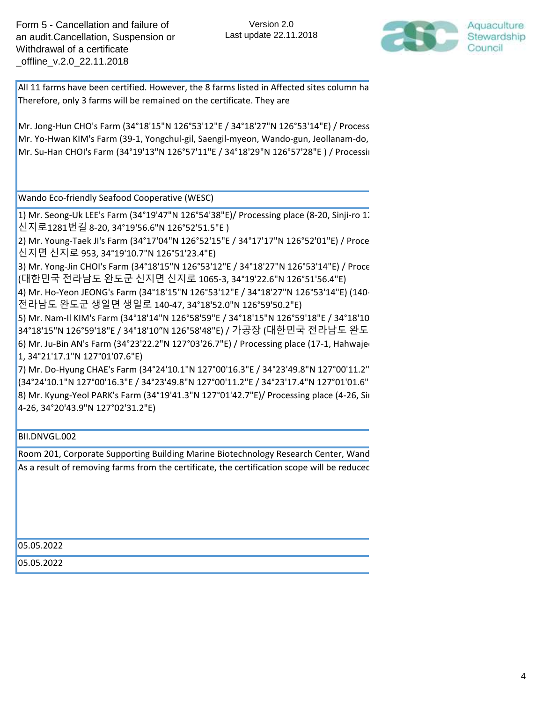

All 11 farms have been certified. However, the 8 farms listed in Affected sites column hare Therefore, only 3 farms will be remained on the certificate. They are

Mr. Jong-Hun CHO's Farm (34°18'15"N 126°53'12"E / 34°18'27"N 126°53'14"E) / Process Mr. Yo-Hwan KIM's Farm (39-1, Yongchul-gil, Saengil-myeon, Wando-gun, Jeollanam-do, Mr. Su-Han CHOI's Farm (34°19'13"N 126°57'11"E / 34°18'29"N 126°57'28"E) / Processin

Wando Eco-friendly Seafood Cooperative (WESC)

1) Mr. Seong-Uk LEE's Farm (34°19'47"N 126°54'38"E)/ Processing place (8-20, Sinji-ro 12 신지로1281번길 8-20, 34°19'56.6"N 126°52'51.5"E )

2) Mr. Young-Taek JI's Farm (34°17'04"N 126°52'15"E / 34°17'17"N 126°52'01"E) / Proce 신지면 신지로 953, 34°19'10.7"N 126°51'23.4"E)

3) Mr. Yong-Jin CHOI's Farm (34°18'15"N 126°53'12"E / 34°18'27"N 126°53'14"E) / Proce (대한민국 전라남도 완도군 신지면 신지로 1065-3, 34°19'22.6"N 126°51'56.4"E)

4) Mr. Ho-Yeon JEONG's Farm (34°18'15"N 126°53'12"E / 34°18'27"N 126°53'14"E) (140-전라남도 완도군 생일면 생일로 140-47, 34°18'52.0"N 126°59'50.2"E)

5) Mr. Nam-II KIM's Farm (34°18'14"N 126°58'59"E / 34°18'15"N 126°59'18"E / 34°18'10 34°18'15"N 126°59'18"E / 34°18'10″N 126°58'48"E) / 가공장 (대한민국 전라남도 완도 6) Mr. Ju-Bin AN's Farm (34°23'22.2"N 127°03'26.7"E) / Processing place (17-1, Hahwajer 1, 34°21'17.1"N 127°01'07.6"E)

7) Mr. Do-Hyung CHAE's Farm (34°24'10.1"N 127°00'16.3"E / 34°23'49.8"N 127°00'11.2" (34°24'10.1"N 127°00'16.3"E / 34°23'49.8"N 127°00'11.2"E / 34°23'17.4"N 127°01'01.6" 8) Mr. Kyung-Yeol PARK's Farm (34°19'41.3"N 127°01'42.7"E)/ Processing place (4-26, Sin 4-26, 34°20'43.9"N 127°02'31.2"E)

BII.DNVGL.002

Room 201, Corporate Supporting Building Marine Biotechnology Research Center, Wand As a result of removing farms from the certificate, the certification scope will be reducec

05.05.2022

05.05.2022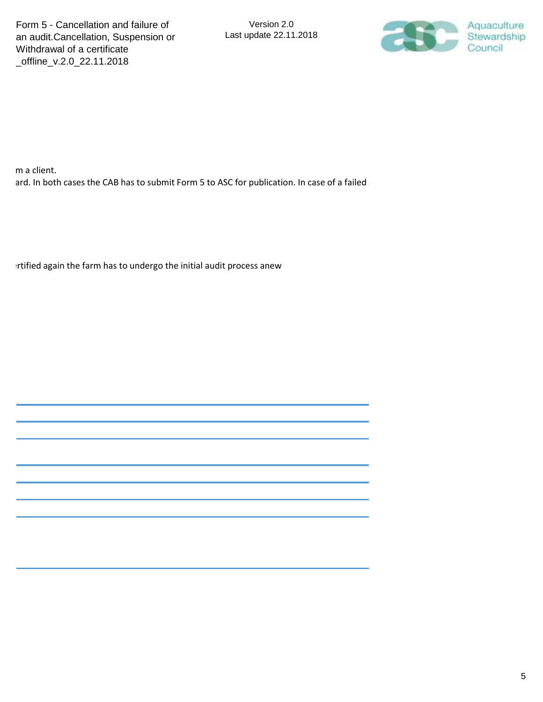

m a client. ard. In both cases the CAB has to submit Form 5 to ASC for publication. In case of a failed

crtified again the farm has to undergo the initial audit process anew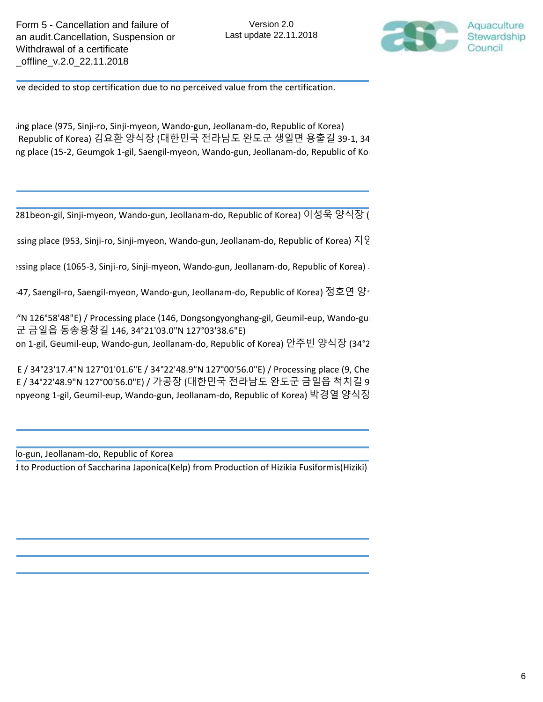

ve decided to stop certification due to no perceived value from the certification.

ing place (975, Sinji-ro, Sinji-myeon, Wando-gun, Jeollanam-do, Republic of Korea) Republic of Korea) 김요환 양식장 (대한민국 전라남도 완도군 생일면 용출길 39-1, 34 ng place (15-2, Geumgok 1-gil, Saengil-myeon, Wando-gun, Jeollanam-do, Republic of Kor

281beon-gil, Sinji-myeon, Wando-gun, Jeollanam-do, Republic of Korea) 이성욱 양식장 (

ssing place (953, Sinji-ro, Sinji-myeon, Wando-gun, Jeollanam-do, Republic of Korea)  $\overline{\lambda}$  |  $\overline{\xi}$ 

ssing place (1065-3, Sinji-ro, Sinji-myeon, Wando-gun, Jeollanam-do, Republic of Korea)

·47, Saengil-ro, Saengil-myeon, Wando-gun, Jeollanam-do, Republic of Korea) 정호연 양

"N 126°58'48"E) / Processing place (146, Dongsongyonghang-gil, Geumil-eup, Wando-gu 군 금일읍 동송용항길 146, 34°21'03.0"N 127°03'38.6"E)

on 1-gil, Geumil-eup, Wando-gun, Jeollanam-do, Republic of Korea) 안주빈 양식장 (34°2

E / 34°23'17.4"N 127°01'01.6"E / 34°22'48.9"N 127°00'56.0"E) / Processing place (9, Che E / 34°22'48.9"N 127°00'56.0"E) / 가공장 (대한민국 전라남도 완도군 금일읍 척치길 9 npyeong 1-gil, Geumil-eup, Wando-gun, Jeollanam-do, Republic of Korea) 박경열 양식장

lo-gun, Jeollanam-do, Republic of Korea

I to Production of Saccharina Japonica(Kelp) from Production of Hizikia Fusiformis(Hiziki)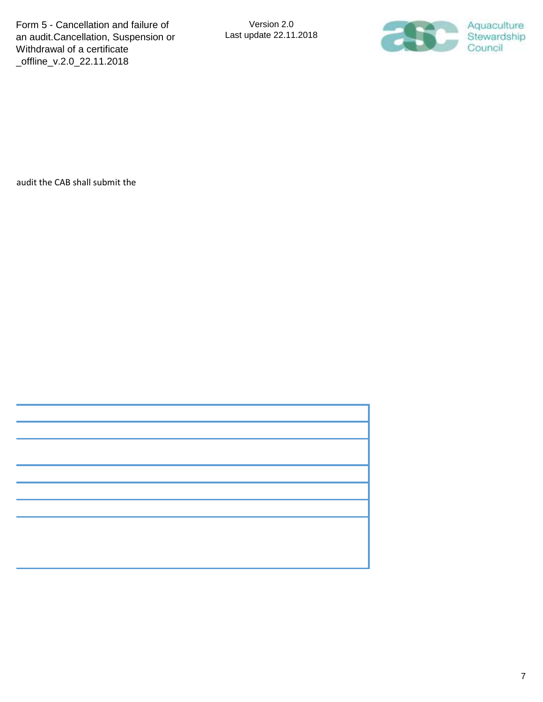

audit the CAB shall submit the